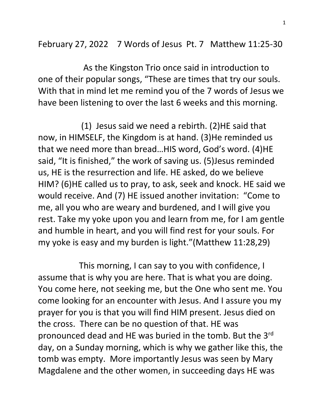February 27, 2022 7 Words of Jesus Pt. 7 Matthew 11:25-30

 As the Kingston Trio once said in introduction to one of their popular songs, "These are times that try our souls. With that in mind let me remind you of the 7 words of Jesus we have been listening to over the last 6 weeks and this morning.

 (1) Jesus said we need a rebirth. (2)HE said that now, in HIMSELF, the Kingdom is at hand. (3)He reminded us that we need more than bread…HIS word, God's word. (4)HE said, "It is finished," the work of saving us. (5)Jesus reminded us, HE is the resurrection and life. HE asked, do we believe HIM? (6)HE called us to pray, to ask, seek and knock. HE said we would receive. And (7) HE issued another invitation: "Come to me, all you who are weary and burdened, and I will give you rest. Take my yoke upon you and learn from me, for I am gentle and humble in heart, and you will find rest for your souls. For my yoke is easy and my burden is light."(Matthew 11:28,29)

 This morning, I can say to you with confidence, I assume that is why you are here. That is what you are doing. You come here, not seeking me, but the One who sent me. You come looking for an encounter with Jesus. And I assure you my prayer for you is that you will find HIM present. Jesus died on the cross. There can be no question of that. HE was pronounced dead and HE was buried in the tomb. But the 3rd day, on a Sunday morning, which is why we gather like this, the tomb was empty. More importantly Jesus was seen by Mary Magdalene and the other women, in succeeding days HE was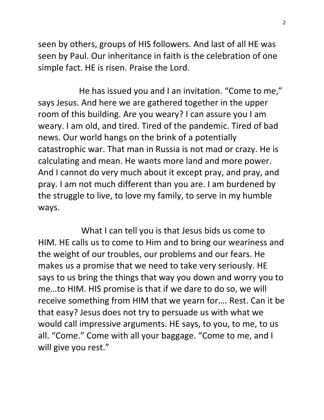seen by others, groups of HIS followers. And last of all HE was seen by Paul. Our inheritance in faith is the celebration of one simple fact. HE is risen. Praise the Lord.

 He has issued you and I an invitation. "Come to me," says Jesus. And here we are gathered together in the upper room of this building. Are you weary? I can assure you I am weary. I am old, and tired. Tired of the pandemic. Tired of bad news. Our world hangs on the brink of a potentially catastrophic war. That man in Russia is not mad or crazy. He is calculating and mean. He wants more land and more power. And I cannot do very much about it except pray, and pray, and pray. I am not much different than you are. I am burdened by the struggle to live, to love my family, to serve in my humble ways.

 What I can tell you is that Jesus bids us come to HIM. HE calls us to come to Him and to bring our weariness and the weight of our troubles, our problems and our fears. He makes us a promise that we need to take very seriously. HE says to us bring the things that way you down and worry you to me…to HIM. HIS promise is that if we dare to do so, we will receive something from HIM that we yearn for…. Rest. Can it be that easy? Jesus does not try to persuade us with what we would call impressive arguments. HE says, to you, to me, to us all. "Come." Come with all your baggage. "Come to me, and I will give you rest."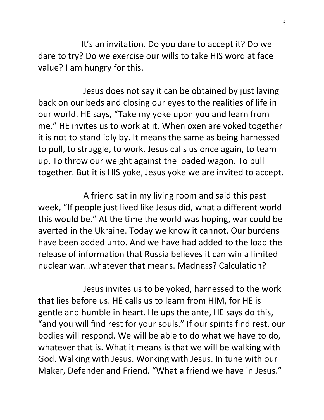It's an invitation. Do you dare to accept it? Do we dare to try? Do we exercise our wills to take HIS word at face value? I am hungry for this.

 Jesus does not say it can be obtained by just laying back on our beds and closing our eyes to the realities of life in our world. HE says, "Take my yoke upon you and learn from me." HE invites us to work at it. When oxen are yoked together it is not to stand idly by. It means the same as being harnessed to pull, to struggle, to work. Jesus calls us once again, to team up. To throw our weight against the loaded wagon. To pull together. But it is HIS yoke, Jesus yoke we are invited to accept.

 A friend sat in my living room and said this past week, "If people just lived like Jesus did, what a different world this would be." At the time the world was hoping, war could be averted in the Ukraine. Today we know it cannot. Our burdens have been added unto. And we have had added to the load the release of information that Russia believes it can win a limited nuclear war…whatever that means. Madness? Calculation?

 Jesus invites us to be yoked, harnessed to the work that lies before us. HE calls us to learn from HIM, for HE is gentle and humble in heart. He ups the ante, HE says do this, "and you will find rest for your souls." If our spirits find rest, our bodies will respond. We will be able to do what we have to do, whatever that is. What it means is that we will be walking with God. Walking with Jesus. Working with Jesus. In tune with our Maker, Defender and Friend. "What a friend we have in Jesus."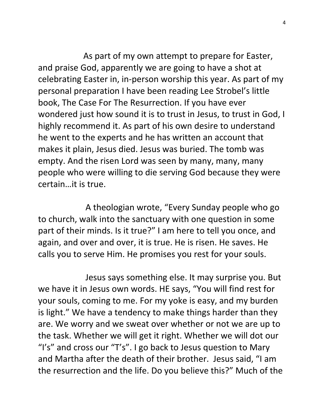As part of my own attempt to prepare for Easter, and praise God, apparently we are going to have a shot at celebrating Easter in, in-person worship this year. As part of my personal preparation I have been reading Lee Strobel's little book, The Case For The Resurrection. If you have ever wondered just how sound it is to trust in Jesus, to trust in God, I highly recommend it. As part of his own desire to understand he went to the experts and he has written an account that makes it plain, Jesus died. Jesus was buried. The tomb was empty. And the risen Lord was seen by many, many, many people who were willing to die serving God because they were certain…it is true.

 A theologian wrote, "Every Sunday people who go to church, walk into the sanctuary with one question in some part of their minds. Is it true?" I am here to tell you once, and again, and over and over, it is true. He is risen. He saves. He calls you to serve Him. He promises you rest for your souls.

 Jesus says something else. It may surprise you. But we have it in Jesus own words. HE says, "You will find rest for your souls, coming to me. For my yoke is easy, and my burden is light." We have a tendency to make things harder than they are. We worry and we sweat over whether or not we are up to the task. Whether we will get it right. Whether we will dot our "I's" and cross our "T's". I go back to Jesus question to Mary and Martha after the death of their brother. Jesus said, "I am the resurrection and the life. Do you believe this?" Much of the